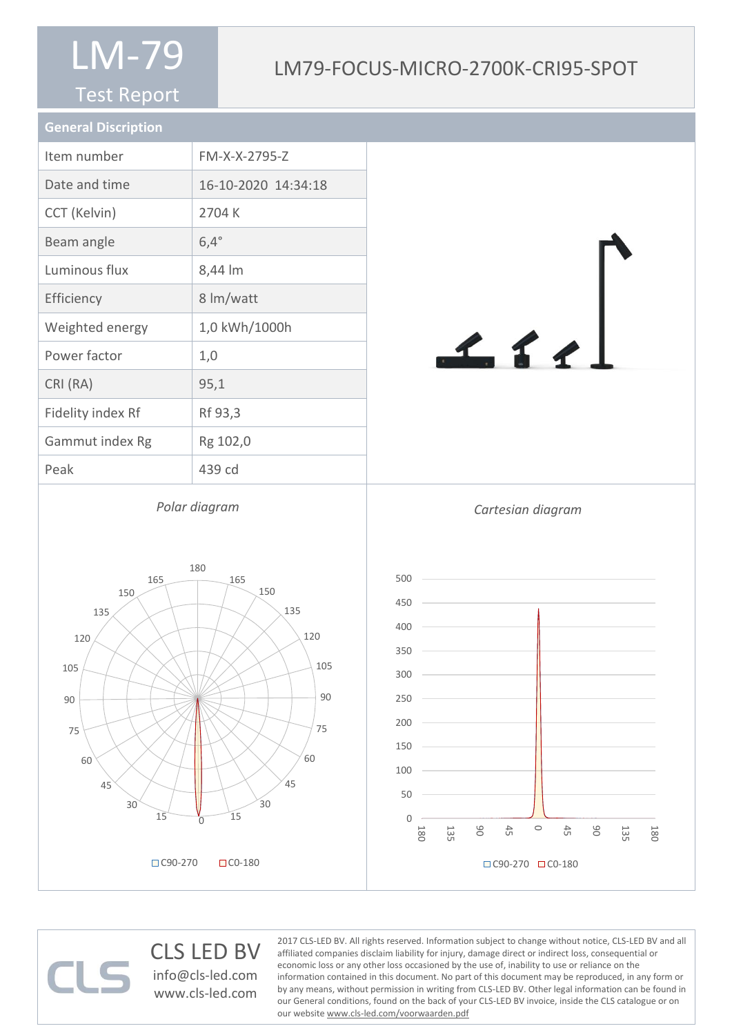#### Test Report

#### LM79-FOCUS-MICRO-2700K-CRI95-SPOT

| <b>General Discription</b> |                     |
|----------------------------|---------------------|
| Item number                | FM-X-X-2795-Z       |
| Date and time              | 16-10-2020 14:34:18 |
| CCT (Kelvin)               | 2704 K              |
| Beam angle                 | $6,4^\circ$         |
| Luminous flux              | 8,44 lm             |
| Efficiency                 | 8 lm/watt           |
| Weighted energy            | 1,0 kWh/1000h       |
| Power factor               | 1,0                 |
| CRI (RA)                   | 95,1                |
| Fidelity index Rf          | Rf 93,3             |
| Gammut index Rg            | Rg 102,0            |
| Peak                       | 439 cd              |



*Polar diagram*







#### CLS LED BV info@cls-led.com

www.cls-led.com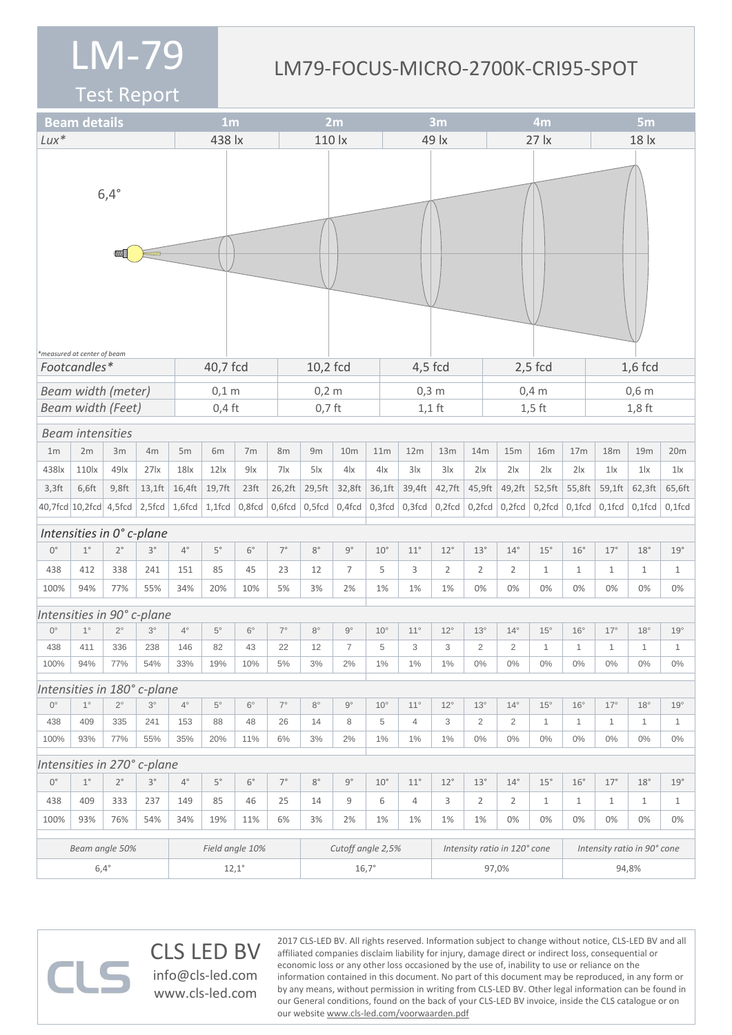#### LM79-FOCUS-MICRO-2700K-CRI95-SPOT

2017 CLS-LED BV. All rights reserved. Information subject to change without notice, CLS-LED BV and all affiliated companies disclaim liability for injury, damage direct or indirect loss, consequential or economic loss or any other loss occasioned by the use of, inability to use or reliance on the

information contained in this document. No part of this document may be reproduced, in any form or by any means, without permission in writing from CLS-LED BV. Other legal information can be found in our General conditions, found on the back of your CLS-LED BV invoice, inside the CLS catalogue or on

Test Report

|                                                         | <b>Beam details</b>      |                                    |                           |                 | 1 <sub>m</sub>    |                  |             |                | 2m              |                              |              | 3m             |                |                | 4m                          |                     |                 | 5 <sub>m</sub> |              |              |  |  |
|---------------------------------------------------------|--------------------------|------------------------------------|---------------------------|-----------------|-------------------|------------------|-------------|----------------|-----------------|------------------------------|--------------|----------------|----------------|----------------|-----------------------------|---------------------|-----------------|----------------|--------------|--------------|--|--|
| $Lux*$                                                  |                          |                                    |                           |                 | 438 lx            |                  |             | 110 lx         |                 |                              | 49 lx        |                |                |                |                             | $27$ $\overline{x}$ |                 | 18 lx          |              |              |  |  |
|                                                         |                          | $6,4^\circ$<br><b>IN THE OWNER</b> |                           |                 |                   |                  |             |                |                 |                              |              |                |                |                |                             |                     |                 |                |              |              |  |  |
| *measured at center of beam<br>Footcandles*<br>40,7 fcd |                          |                                    |                           |                 |                   |                  | 10,2 fcd    |                |                 |                              | $4,5$ fcd    |                |                | $2,5$ fcd      |                             | $1,6$ fcd           |                 |                |              |              |  |  |
| <b>Beam width (meter)</b><br>$0,1$ m                    |                          |                                    |                           |                 |                   |                  |             | $0,2$ m        |                 |                              |              | $0,3$ m        |                |                |                             | $0,4$ m             |                 |                | $0,6$ m      |              |  |  |
|                                                         | <b>Beam width (Feet)</b> |                                    |                           |                 | $0,4$ ft          |                  |             |                | $0,7$ ft        |                              |              |                | $1,1$ ft       |                | $1,5$ ft                    |                     |                 | $1,8$ ft       |              |              |  |  |
|                                                         | <b>Beam intensities</b>  |                                    |                           |                 |                   |                  |             |                |                 |                              |              |                |                |                |                             |                     |                 |                |              |              |  |  |
| 1 <sub>m</sub>                                          | 2m                       | 3m                                 | 4m                        | 5m              | 6m                | 7 <sub>m</sub>   | 8m          | 9m             | 10 <sub>m</sub> | 11m                          |              | 12m            | 13m            | 14m            | 15m                         | <b>16m</b>          | 17 <sub>m</sub> | 18m            | 19m          | 20m          |  |  |
| 438 lx                                                  | 110 <sub>x</sub>         | $49$ $x$                           | $27$ $x$                  | 18x             | $12$ $\alpha$     | 9 <sub>1x</sub>  | 7x          | $5\,$ $\alpha$ | $4\text{lx}$    |                              | 4x           | 3 x            | 3 x            | 2 x            | 2 x                         | 2 x                 | $2\mathsf{lx}$  | $1\text{lx}$   | 1 x          | $1\text{lx}$ |  |  |
| $3,3$ ft                                                | 6,6ft                    | $9,8$ ft                           | $13,1$ ft                 | 16,4ft          | 19,7ft            | 23 <sup>ft</sup> | 26,2ft      | 29,5ft         | 32,8ft          |                              | 36,1ft       | 39,4ft         | 42,7ft         | 45,9ft         | 49,2ft                      | 52,5ft              | 55,8ft          | 59,1ft         | 62,3ft       | 65,6ft       |  |  |
| 40,7fcd 10,2fcd 4,5fcd                                  |                          |                                    | $2,5$ fcd $ 1,6$ fcd $ $  |                 | $1,1$ fcd         | $0,8$ fcd        | $0,6$ fcd   | $0,5$ fcd      | $0,4$ fcd       |                              | $0,3$ fcd    | $0,3$ fcd      | $0,2$ fcd      |                | $0,2$ fcd $\vert 0,2$ fcd   | $0,2$ fcd           | $0,1$ fcd       | $0,1$ fcd      | $0,1$ fcd    | $0,1$ fcd    |  |  |
|                                                         |                          |                                    | Intensities in 0° c-plane |                 |                   |                  |             |                |                 |                              |              |                |                |                |                             |                     |                 |                |              |              |  |  |
| $0^{\circ}$                                             | $1^{\circ}$              | $2^{\circ}$                        | $3^{\circ}$               | $4^{\circ}$     | $5^\circ$         | $6^{\circ}$      | $7^{\circ}$ | $8^{\circ}$    | $9^{\circ}$     | $10^{\circ}$                 |              | $11^{\circ}$   | $12^{\circ}$   | $13^{\circ}$   | $14^{\circ}$                | $15^{\circ}$        | $16^{\circ}$    | $17^{\circ}$   | 18°          | 19°          |  |  |
| 438                                                     | 412                      | 338                                | 241                       | 151             | 85                | 45               | 23          | 12             | $\overline{7}$  | 5                            |              | 3              | $\overline{2}$ | $\overline{2}$ | $\overline{2}$              | $\mathbf{1}$        | $\mathbf{1}$    | $\mathbf{1}$   | $\mathbf{1}$ | $\mathbf{1}$ |  |  |
| 100%                                                    | 94%                      | 77%                                | 55%                       | 34%             | 20%               | 10%              | 5%          | 3%             | 2%              |                              | 1%           | 1%             | 1%             | 0%             | 0%                          | 0%                  | 0%              | 0%             | 0%           | 0%           |  |  |
| Intensities in 90° c-plane                              |                          |                                    |                           |                 |                   |                  |             |                |                 |                              |              |                |                |                |                             |                     |                 |                |              |              |  |  |
| $0^{\circ}$                                             | $1^{\circ}$              | $2^{\circ}$                        | $3^\circ$                 | $4^{\circ}$     | $5^{\circ}$       | $6^{\circ}$      | $7^{\circ}$ | $8^{\circ}$    | $9^{\circ}$     |                              | $10^{\circ}$ | $11^{\circ}$   | $12^{\circ}$   | $13^\circ$     | $14^{\circ}$                | $15^{\circ}$        | $16^{\circ}$    | $17^{\circ}$   | $18^\circ$   | 19°          |  |  |
| 438                                                     | 411                      | 336                                | 238                       | 146             | 82                | 43               | 22          | 12             | $\overline{7}$  | 5                            |              | 3              | 3              | $\overline{2}$ | $\overline{2}$              | 1                   | $\mathbf{1}$    | 1              | 1            | $\mathbf{1}$ |  |  |
| 100%                                                    | 94%                      | 77%                                | 54%                       | 33%             | 19%               | 10%              | $5\%$       | 3%             | $2\%$           |                              | 1%           | 1%             | 1%             | 0%             | $0\%$                       | $0\%$               | $0\%$           | $0\%$          | $0\%$        | $0\%$        |  |  |
| Intensities in 180° c-plane                             |                          |                                    |                           |                 |                   |                  |             |                |                 |                              |              |                |                |                |                             |                     |                 |                |              |              |  |  |
| $0^{\circ}$                                             | $1^{\circ}$              | $2^{\circ}$                        | $3^\circ$                 | $4^{\circ}$     | $5^{\circ}$       | $6^{\circ}$      | $7^\circ$   | $8^{\circ}$    | $9^{\circ}$     | $10^{\circ}$                 |              | $11^{\circ}$   | $12^{\circ}$   | $13^\circ$     | $14^{\circ}$                | $15^{\circ}$        | $16^{\circ}$    | $17^{\circ}$   | $18^{\circ}$ | 19°          |  |  |
| 438                                                     | 409                      | 335                                | 241                       | 153             | 88                | 48               | 26          | 14             | 8               | 5                            |              | $\overline{4}$ | 3              | $\overline{2}$ | $\overline{2}$              | $\mathbf{1}$        | $\mathbf{1}$    | 1              | $\mathbf{1}$ | $\mathbf{1}$ |  |  |
| 100%                                                    | 93%                      | 77%                                | 55%                       | 35%             | 20%               | 11%              | 6%          | 3%             | 2%              |                              | $1\%$        | $1\%$          | 1%             | $0\%$          | $0\%$                       | $0\%$               | $0\%$           | $0\%$          | $0\%$        | $0\%$        |  |  |
| Intensities in 270° c-plane                             |                          |                                    |                           |                 |                   |                  |             |                |                 |                              |              |                |                |                |                             |                     |                 |                |              |              |  |  |
| $0^{\circ}$                                             | $1^{\circ}$              | $2^{\circ}$                        | $3^{\circ}$               | $4^{\circ}$     | $5^{\circ}$       | $6^{\circ}$      | $7^{\circ}$ | $8^{\circ}$    | $9^{\circ}$     | $10^{\circ}$                 |              | $11^{\circ}$   | $12^{\circ}$   | 13°            | $14^{\circ}$                | 15°                 | $16^{\circ}$    | $17^{\circ}$   | $18^{\circ}$ | 19°          |  |  |
| 438                                                     | 409                      | 333                                | 237                       | 149             | 85                | 46               | 25          | 14             | 9               | 6                            |              | $\overline{4}$ | 3              | $\overline{2}$ | $\overline{2}$              | $\mathbf{1}$        | $\mathbf{1}$    | $\mathbf{1}$   | $\mathbf{1}$ | $\mathbf{1}$ |  |  |
| 100%                                                    | 93%                      | 76%                                | 54%                       | 34%             | 19%               | 11%              | 6%          | 3%             | 2%              |                              | 1%           | 1%             | 1%             | 1%             | 0%                          | 0%                  | 0%              | 0%             | 0%           | 0%           |  |  |
| Beam angle 50%                                          |                          |                                    |                           | Field angle 10% | Cutoff angle 2,5% |                  |             |                |                 | Intensity ratio in 120° cone |              |                |                |                | Intensity ratio in 90° cone |                     |                 |                |              |              |  |  |
|                                                         | $6,4^\circ$              |                                    |                           | $12,1^\circ$    |                   |                  |             | $16,7^\circ$   |                 |                              |              |                |                | 97,0%          |                             | 94,8%               |                 |                |              |              |  |  |

our website www.cls-led.com/voorwaarden.pdf

CLS LED BV info@cls-led.com www.cls-led.com

 $\Box$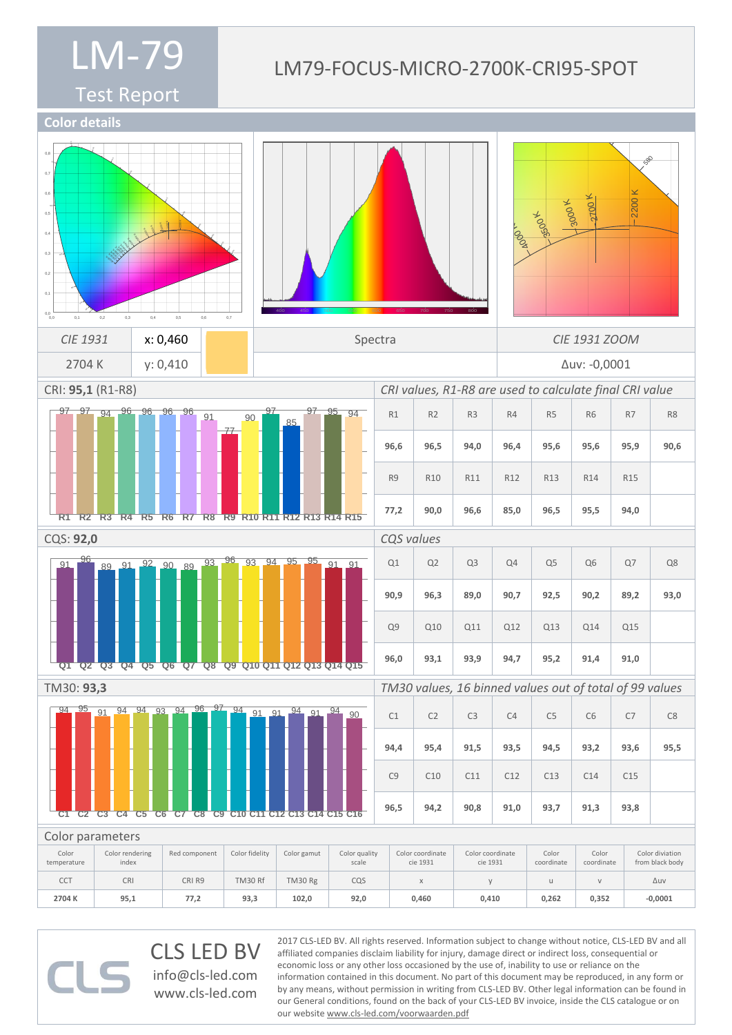#### LM79-FOCUS-MICRO-2700K-CRI95-SPOT

570

Test Report



CLS LED BV info@cls-led.com www.cls-led.com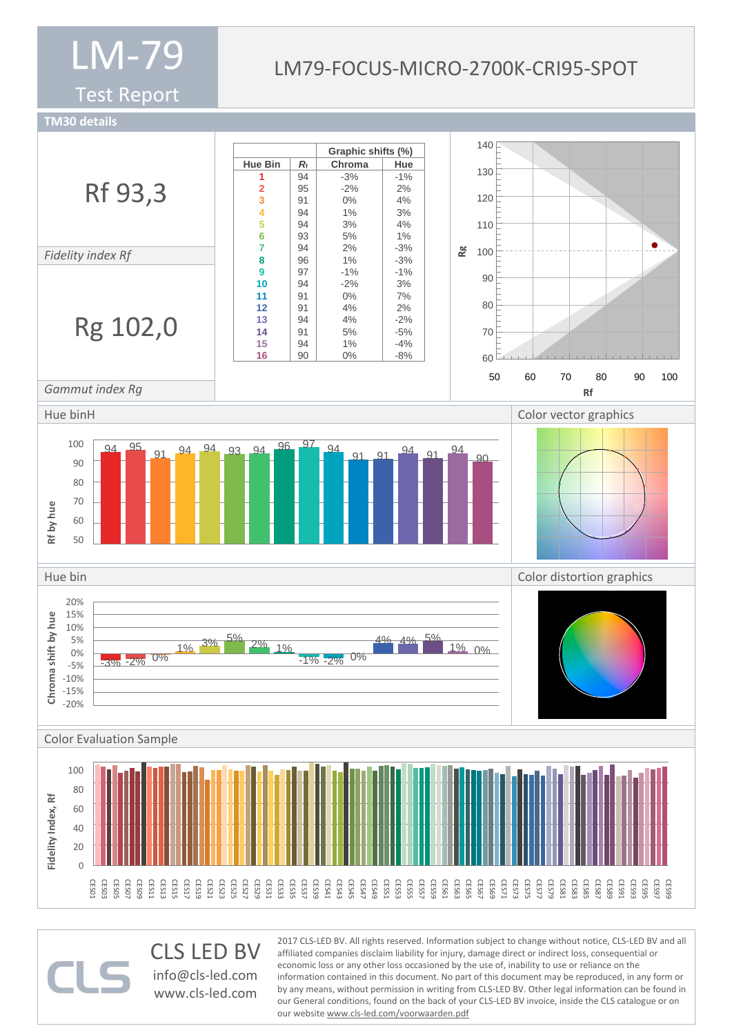Test Report

#### LM79-FOCUS-MICRO-2700K-CRI95-SPOT

**TM30 details**



CLS LED BV info@cls-led.com www.cls-led.com